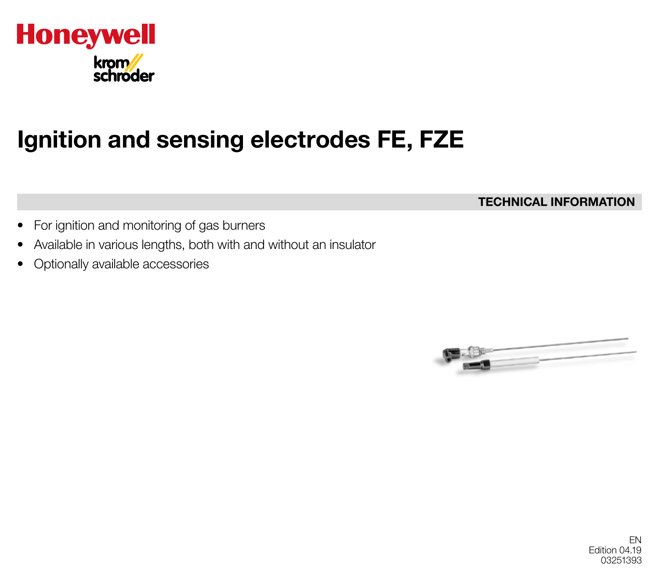

# Ignition and sensing electrodes FE, FZE

TECHNICAL INFORMATION

- For ignition and monitoring of gas burners
- Available in various lengths, both with and without an insulator
- Optionally available accessories

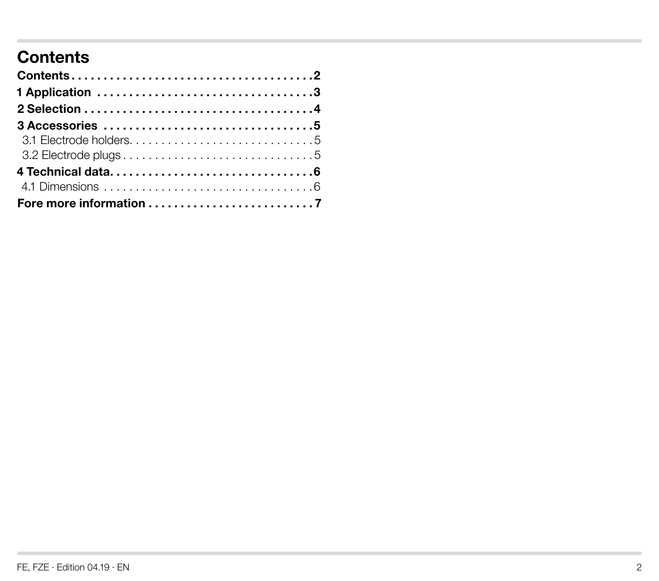# **Contents**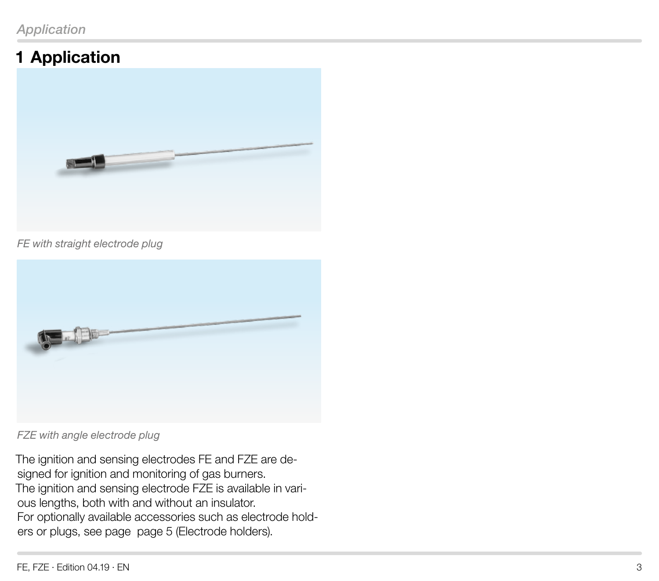# <span id="page-2-0"></span>1 Application



#### *FE with straight electrode plug*



*FZE with angle electrode plug*

The ignition and sensing electrodes FE and FZE are designed for ignition and monitoring of gas burners. The ignition and sensing electrode FZE is available in various lengths, both with and without an insulator. For optionally available accessories such as electrode holders or plugs, see page page 5 (Electrode holders).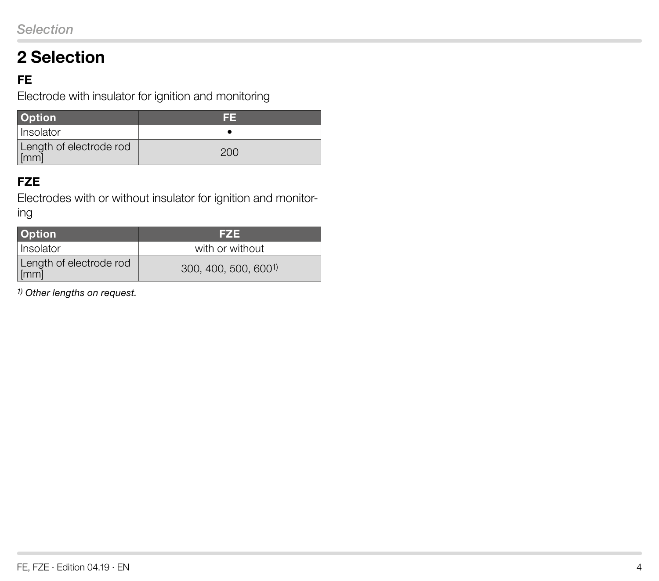# <span id="page-3-0"></span>2 Selection

## **FE**

Electrode with insulator for ignition and monitoring

| <b>Option</b>                   | l si si |
|---------------------------------|---------|
| l Insolator                     |         |
| Length of electrode rod<br>[mm] | 200     |

#### **FZE**

Electrodes with or without insulator for ignition and monitoring

| <b>Option</b>                   | FZE                              |
|---------------------------------|----------------------------------|
| Insolator                       | with or without                  |
| Length of electrode rod<br>[mm] | 300, 400, 500, 600 <sup>1)</sup> |

*1) Other lengths on request.*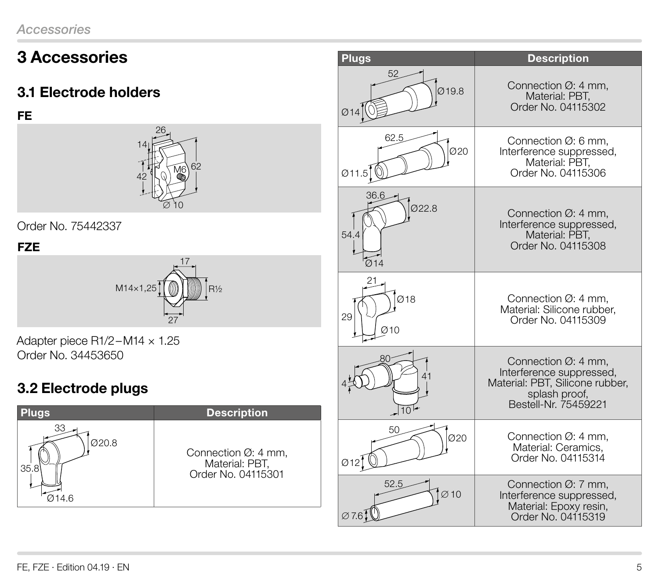# <span id="page-4-0"></span>3 Accessories

## 3.1 Electrode holders

**FE** 



Order No. 75442337

## **FZE**



Adapter piece R1/2–M14 × 1.25 Order No. 34453650

## 3.2 Electrode plugs



| <b>Plugs</b>           | <b>Description</b>                                                                                                                       |  |  |
|------------------------|------------------------------------------------------------------------------------------------------------------------------------------|--|--|
| 52                     | Connection $\varnothing$ : 4 mm,                                                                                                         |  |  |
| Ø19.8                  | Material: PBT,                                                                                                                           |  |  |
| Ø14                    | Order No. 04115302                                                                                                                       |  |  |
| 62.5<br>020<br>Ø11.5   | Connection Ø: 6 mm,<br>Interference suppressed,<br>Material: PBT,<br>Order No. 04115306                                                  |  |  |
| 36.6                   | Connection $\varnothing$ : 4 mm,                                                                                                         |  |  |
| 022.8                  | Interference suppressed,                                                                                                                 |  |  |
| 54.4                   | Material: PBT,                                                                                                                           |  |  |
| _<br>Ø14               | Order No. 04115308                                                                                                                       |  |  |
| 21<br>Ø18<br>29<br>Q10 | Connection $\varnothing$ : 4 mm.<br>Material: Silicone rubber,<br>Order No. 04115309                                                     |  |  |
| 80<br>$10^{14}$        | Connection $\varnothing$ : 4 mm,<br>Interference suppressed,<br>Material: PBT, Silicone rubber,<br>splash proof,<br>Bestell-Nr. 75459221 |  |  |
| 50                     | Connection $\varnothing$ : 4 mm,                                                                                                         |  |  |
| 020                    | Material: Ceramics,                                                                                                                      |  |  |
| $\emptyset$ 12         | Order No. 04115314                                                                                                                       |  |  |
| 52.5                   | Connection Ø: 7 mm,                                                                                                                      |  |  |
| $\sim$ 10              | Interference suppressed,                                                                                                                 |  |  |
| $\varnothing$ 7.61     | Material: Epoxy resin,<br>Order No. 04115319                                                                                             |  |  |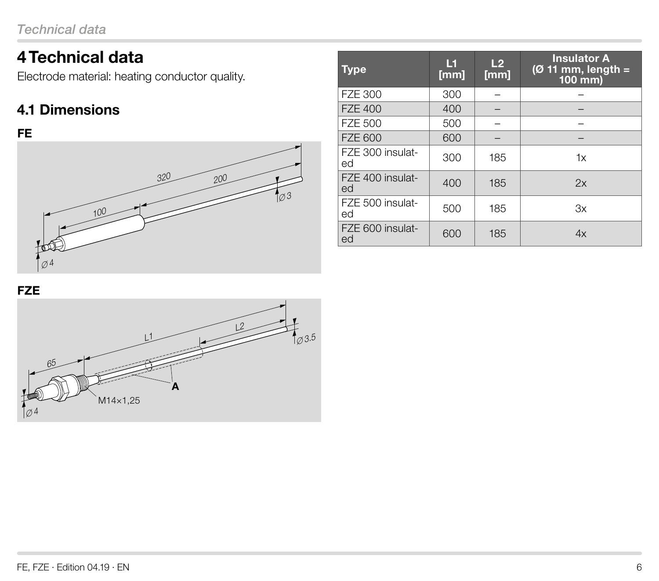# <span id="page-5-0"></span>4 Technical data

Electrode material: heating conductor quality.

## 4.1 Dimensions

#### **FE**



| <b>Type</b>            | М<br>[mm] | L <sub>2</sub><br>[mm] | <b>Insulator A</b><br>$(Ø 11$ mm, length =<br>100 mm) |
|------------------------|-----------|------------------------|-------------------------------------------------------|
| <b>FZE 300</b>         | 300       |                        |                                                       |
| <b>FZE 400</b>         | 400       |                        |                                                       |
| <b>FZE 500</b>         | 500       |                        |                                                       |
| <b>FZE 600</b>         | 600       |                        |                                                       |
| FZE 300 insulat-<br>ed | 300       | 185                    | 1x                                                    |
| FZE 400 insulat-<br>ed | 400       | 185                    | 2x                                                    |
| FZE 500 insulat-<br>ed | 500       | 185                    | Зx                                                    |
| FZE 600 insulat-<br>ed | 600       | 185                    | 4x                                                    |

**FZE**